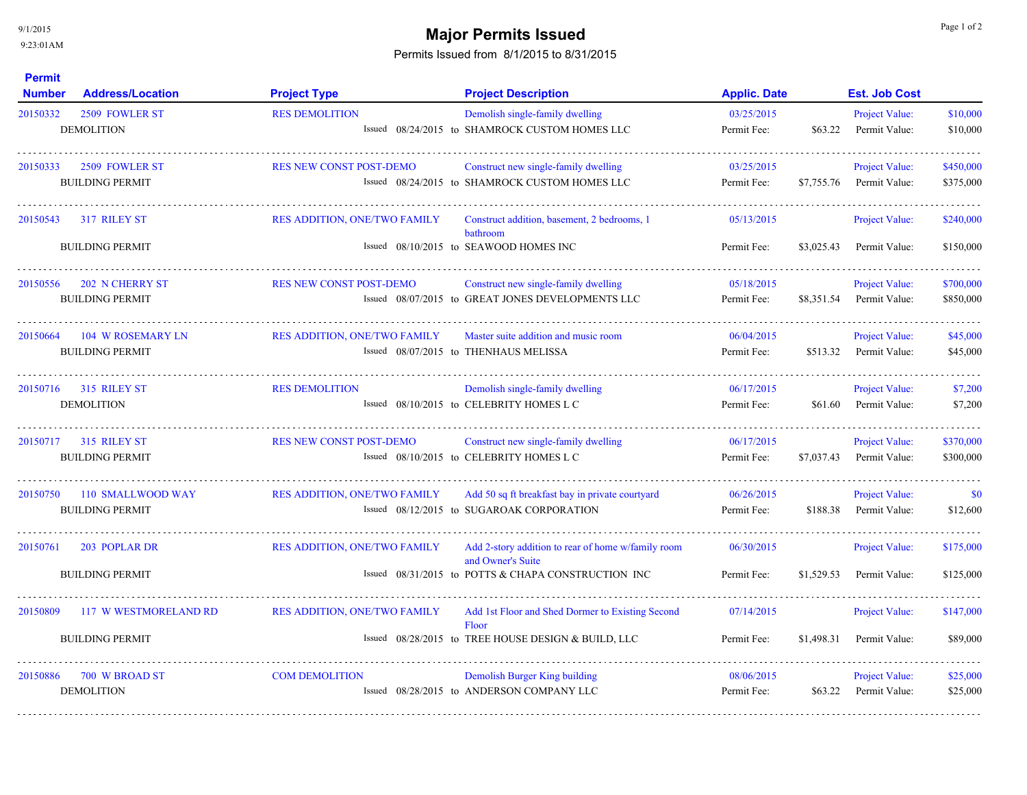9/1/2015 9:23:01AM

## **Major Permits Issued Major Permits Issued**

Permits Issued from 8/1/2015 to 8/31/2015

| <b>Permit</b><br><b>Number</b> | <b>Address/Location</b>                          | <b>Project Type</b>                 | <b>Project Description</b>                                                                   | <b>Applic. Date</b>       |            | <b>Est. Job Cost</b>                   |                        |
|--------------------------------|--------------------------------------------------|-------------------------------------|----------------------------------------------------------------------------------------------|---------------------------|------------|----------------------------------------|------------------------|
| 20150332                       | 2509 FOWLER ST<br><b>DEMOLITION</b>              | <b>RES DEMOLITION</b>               | Demolish single-family dwelling<br>Issued 08/24/2015 to SHAMROCK CUSTOM HOMES LLC            | 03/25/2015<br>Permit Fee: | \$63.22    | Project Value:<br>Permit Value:        | \$10,000<br>\$10,000   |
| 20150333                       | 2509 FOWLER ST<br><b>BUILDING PERMIT</b>         | RES NEW CONST POST-DEMO             | Construct new single-family dwelling<br>Issued 08/24/2015 to SHAMROCK CUSTOM HOMES LLC       | 03/25/2015<br>Permit Fee: | \$7,755.76 | <b>Project Value:</b><br>Permit Value: | \$450,000<br>\$375,000 |
| 20150543                       | 317 RILEY ST                                     | <b>RES ADDITION, ONE/TWO FAMILY</b> | Construct addition, basement, 2 bedrooms, 1<br>bathroom                                      | 05/13/2015                |            | <b>Project Value:</b>                  | \$240,000              |
|                                | <b>BUILDING PERMIT</b>                           |                                     | Issued 08/10/2015 to SEAWOOD HOMES INC                                                       | Permit Fee:               | \$3,025.43 | Permit Value:                          | \$150,000              |
| 20150556                       | <b>202 N CHERRY ST</b><br><b>BUILDING PERMIT</b> | <b>RES NEW CONST POST-DEMO</b>      | Construct new single-family dwelling<br>Issued 08/07/2015 to GREAT JONES DEVELOPMENTS LLC    | 05/18/2015<br>Permit Fee: | \$8,351.54 | <b>Project Value:</b><br>Permit Value: | \$700,000<br>\$850,000 |
| 20150664                       | 104 W ROSEMARY LN<br><b>BUILDING PERMIT</b>      | <b>RES ADDITION, ONE/TWO FAMILY</b> | Master suite addition and music room<br>Issued 08/07/2015 to THENHAUS MELISSA                | 06/04/2015<br>Permit Fee: | \$513.32   | <b>Project Value:</b><br>Permit Value: | \$45,000<br>\$45,000   |
| 20150716                       | 315 RILEY ST<br><b>DEMOLITION</b>                | <b>RES DEMOLITION</b>               | Demolish single-family dwelling<br>Issued 08/10/2015 to CELEBRITY HOMES L C                  | 06/17/2015<br>Permit Fee: | \$61.60    | <b>Project Value:</b><br>Permit Value: | \$7,200<br>\$7,200     |
| 20150717                       | 315 RILEY ST<br><b>BUILDING PERMIT</b>           | <b>RES NEW CONST POST-DEMO</b>      | Construct new single-family dwelling<br>Issued 08/10/2015 to CELEBRITY HOMES L C             | 06/17/2015<br>Permit Fee: | \$7,037.43 | Project Value:<br>Permit Value:        | \$370,000<br>\$300,000 |
| 20150750                       | 110 SMALLWOOD WAY<br><b>BUILDING PERMIT</b>      | <b>RES ADDITION, ONE/TWO FAMILY</b> | Add 50 sq ft breakfast bay in private courtyard<br>Issued 08/12/2015 to SUGAROAK CORPORATION | 06/26/2015<br>Permit Fee: | \$188.38   | Project Value:<br>Permit Value:        | <b>SO</b><br>\$12,600  |
| 20150761                       | 203 POPLAR DR                                    | <b>RES ADDITION, ONE/TWO FAMILY</b> | Add 2-story addition to rear of home w/family room<br>and Owner's Suite                      | 06/30/2015                |            | <b>Project Value:</b>                  | \$175,000              |
|                                | <b>BUILDING PERMIT</b>                           |                                     | Issued 08/31/2015 to POTTS & CHAPA CONSTRUCTION INC                                          | Permit Fee:               | \$1.529.53 | Permit Value:                          | \$125,000              |
| 20150809                       | 117 W WESTMORELAND RD                            | <b>RES ADDITION, ONE/TWO FAMILY</b> | Add 1st Floor and Shed Dormer to Existing Second<br>Floor                                    | 07/14/2015                |            | <b>Project Value:</b>                  | \$147,000              |
|                                | <b>BUILDING PERMIT</b>                           |                                     | Issued 08/28/2015 to TREE HOUSE DESIGN & BUILD, LLC                                          | Permit Fee:               | \$1,498.31 | Permit Value:                          | \$89,000               |
| 20150886                       | 700 W BROAD ST<br><b>DEMOLITION</b>              | <b>COM DEMOLITION</b>               | Demolish Burger King building<br>Issued 08/28/2015 to ANDERSON COMPANY LLC                   | 08/06/2015<br>Permit Fee: | \$63.22    | <b>Project Value:</b><br>Permit Value: | \$25,000<br>\$25,000   |